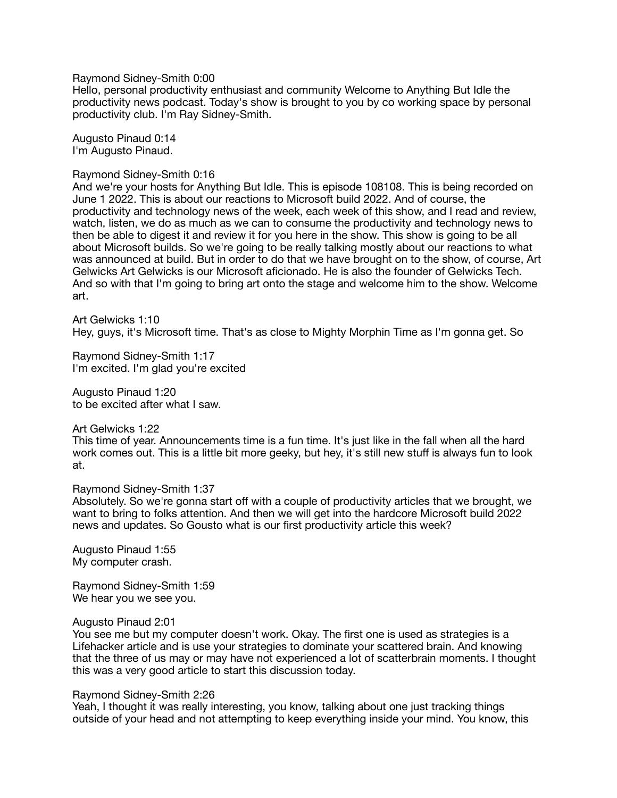Raymond Sidney-Smith 0:00

Hello, personal productivity enthusiast and community Welcome to Anything But Idle the productivity news podcast. Today's show is brought to you by co working space by personal productivity club. I'm Ray Sidney-Smith.

Augusto Pinaud 0:14 I'm Augusto Pinaud.

#### Raymond Sidney-Smith 0:16

And we're your hosts for Anything But Idle. This is episode 108108. This is being recorded on June 1 2022. This is about our reactions to Microsoft build 2022. And of course, the productivity and technology news of the week, each week of this show, and I read and review, watch, listen, we do as much as we can to consume the productivity and technology news to then be able to digest it and review it for you here in the show. This show is going to be all about Microsoft builds. So we're going to be really talking mostly about our reactions to what was announced at build. But in order to do that we have brought on to the show, of course, Art Gelwicks Art Gelwicks is our Microsoft aficionado. He is also the founder of Gelwicks Tech. And so with that I'm going to bring art onto the stage and welcome him to the show. Welcome art.

Art Gelwicks 1:10 Hey, guys, it's Microsoft time. That's as close to Mighty Morphin Time as I'm gonna get. So

Raymond Sidney-Smith 1:17 I'm excited. I'm glad you're excited

Augusto Pinaud 1:20 to be excited after what I saw.

Art Gelwicks 1:22

This time of year. Announcements time is a fun time. It's just like in the fall when all the hard work comes out. This is a little bit more geeky, but hey, it's still new stuff is always fun to look at.

#### Raymond Sidney-Smith 1:37

Absolutely. So we're gonna start off with a couple of productivity articles that we brought, we want to bring to folks attention. And then we will get into the hardcore Microsoft build 2022 news and updates. So Gousto what is our first productivity article this week?

Augusto Pinaud 1:55 My computer crash.

Raymond Sidney-Smith 1:59 We hear you we see you.

#### Augusto Pinaud 2:01

You see me but my computer doesn't work. Okay. The first one is used as strategies is a Lifehacker article and is use your strategies to dominate your scattered brain. And knowing that the three of us may or may have not experienced a lot of scatterbrain moments. I thought this was a very good article to start this discussion today.

#### Raymond Sidney-Smith 2:26

Yeah, I thought it was really interesting, you know, talking about one just tracking things outside of your head and not attempting to keep everything inside your mind. You know, this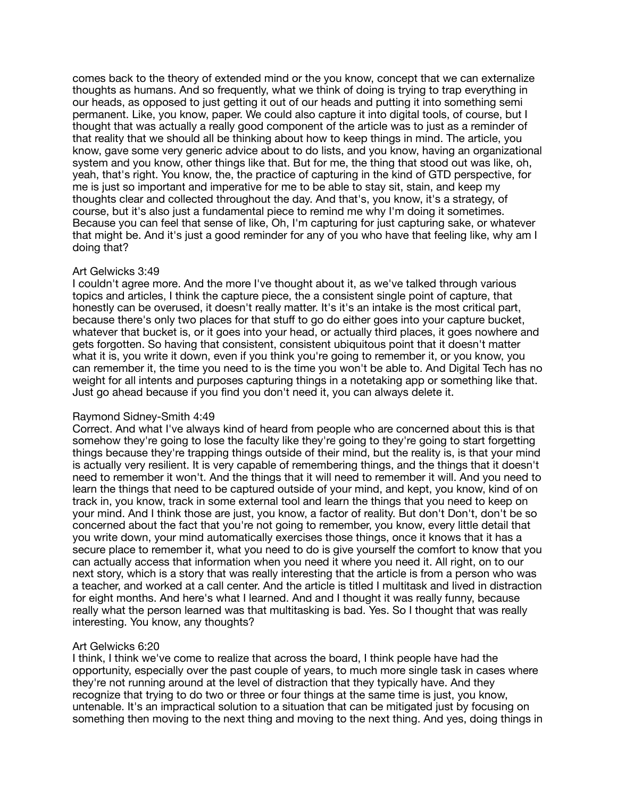comes back to the theory of extended mind or the you know, concept that we can externalize thoughts as humans. And so frequently, what we think of doing is trying to trap everything in our heads, as opposed to just getting it out of our heads and putting it into something semi permanent. Like, you know, paper. We could also capture it into digital tools, of course, but I thought that was actually a really good component of the article was to just as a reminder of that reality that we should all be thinking about how to keep things in mind. The article, you know, gave some very generic advice about to do lists, and you know, having an organizational system and you know, other things like that. But for me, the thing that stood out was like, oh, yeah, that's right. You know, the, the practice of capturing in the kind of GTD perspective, for me is just so important and imperative for me to be able to stay sit, stain, and keep my thoughts clear and collected throughout the day. And that's, you know, it's a strategy, of course, but it's also just a fundamental piece to remind me why I'm doing it sometimes. Because you can feel that sense of like, Oh, I'm capturing for just capturing sake, or whatever that might be. And it's just a good reminder for any of you who have that feeling like, why am I doing that?

# Art Gelwicks 3:49

I couldn't agree more. And the more I've thought about it, as we've talked through various topics and articles, I think the capture piece, the a consistent single point of capture, that honestly can be overused, it doesn't really matter. It's it's an intake is the most critical part, because there's only two places for that stuff to go do either goes into your capture bucket, whatever that bucket is, or it goes into your head, or actually third places, it goes nowhere and gets forgotten. So having that consistent, consistent ubiquitous point that it doesn't matter what it is, you write it down, even if you think you're going to remember it, or you know, you can remember it, the time you need to is the time you won't be able to. And Digital Tech has no weight for all intents and purposes capturing things in a notetaking app or something like that. Just go ahead because if you find you don't need it, you can always delete it.

# Raymond Sidney-Smith 4:49

Correct. And what I've always kind of heard from people who are concerned about this is that somehow they're going to lose the faculty like they're going to they're going to start forgetting things because they're trapping things outside of their mind, but the reality is, is that your mind is actually very resilient. It is very capable of remembering things, and the things that it doesn't need to remember it won't. And the things that it will need to remember it will. And you need to learn the things that need to be captured outside of your mind, and kept, you know, kind of on track in, you know, track in some external tool and learn the things that you need to keep on your mind. And I think those are just, you know, a factor of reality. But don't Don't, don't be so concerned about the fact that you're not going to remember, you know, every little detail that you write down, your mind automatically exercises those things, once it knows that it has a secure place to remember it, what you need to do is give yourself the comfort to know that you can actually access that information when you need it where you need it. All right, on to our next story, which is a story that was really interesting that the article is from a person who was a teacher, and worked at a call center. And the article is titled I multitask and lived in distraction for eight months. And here's what I learned. And and I thought it was really funny, because really what the person learned was that multitasking is bad. Yes. So I thought that was really interesting. You know, any thoughts?

# Art Gelwicks 6:20

I think, I think we've come to realize that across the board, I think people have had the opportunity, especially over the past couple of years, to much more single task in cases where they're not running around at the level of distraction that they typically have. And they recognize that trying to do two or three or four things at the same time is just, you know, untenable. It's an impractical solution to a situation that can be mitigated just by focusing on something then moving to the next thing and moving to the next thing. And yes, doing things in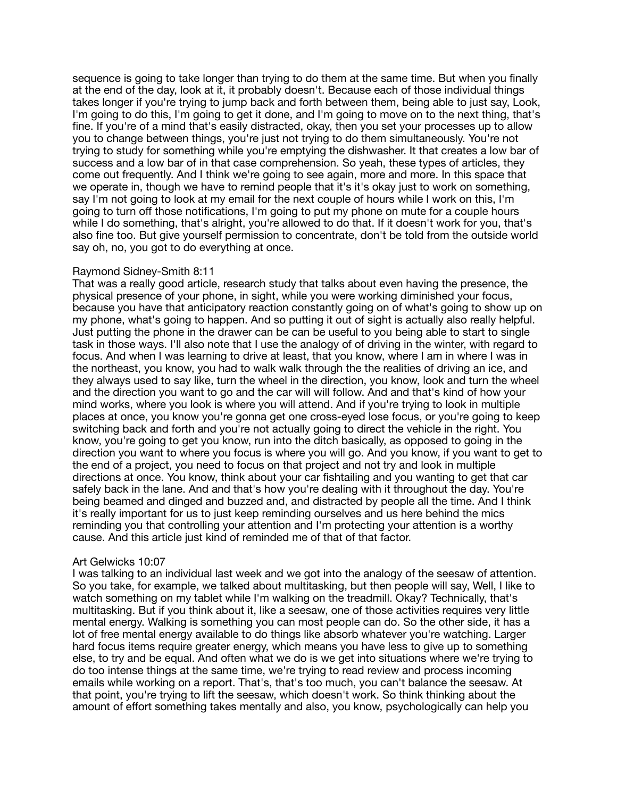sequence is going to take longer than trying to do them at the same time. But when you finally at the end of the day, look at it, it probably doesn't. Because each of those individual things takes longer if you're trying to jump back and forth between them, being able to just say, Look, I'm going to do this, I'm going to get it done, and I'm going to move on to the next thing, that's fine. If you're of a mind that's easily distracted, okay, then you set your processes up to allow you to change between things, you're just not trying to do them simultaneously. You're not trying to study for something while you're emptying the dishwasher. It that creates a low bar of success and a low bar of in that case comprehension. So yeah, these types of articles, they come out frequently. And I think we're going to see again, more and more. In this space that we operate in, though we have to remind people that it's it's okay just to work on something, say I'm not going to look at my email for the next couple of hours while I work on this, I'm going to turn off those notifications, I'm going to put my phone on mute for a couple hours while I do something, that's alright, you're allowed to do that. If it doesn't work for you, that's also fine too. But give yourself permission to concentrate, don't be told from the outside world say oh, no, you got to do everything at once.

## Raymond Sidney-Smith 8:11

That was a really good article, research study that talks about even having the presence, the physical presence of your phone, in sight, while you were working diminished your focus, because you have that anticipatory reaction constantly going on of what's going to show up on my phone, what's going to happen. And so putting it out of sight is actually also really helpful. Just putting the phone in the drawer can be can be useful to you being able to start to single task in those ways. I'll also note that I use the analogy of of driving in the winter, with regard to focus. And when I was learning to drive at least, that you know, where I am in where I was in the northeast, you know, you had to walk walk through the the realities of driving an ice, and they always used to say like, turn the wheel in the direction, you know, look and turn the wheel and the direction you want to go and the car will will follow. And and that's kind of how your mind works, where you look is where you will attend. And if you're trying to look in multiple places at once, you know you're gonna get one cross-eyed lose focus, or you're going to keep switching back and forth and you're not actually going to direct the vehicle in the right. You know, you're going to get you know, run into the ditch basically, as opposed to going in the direction you want to where you focus is where you will go. And you know, if you want to get to the end of a project, you need to focus on that project and not try and look in multiple directions at once. You know, think about your car fishtailing and you wanting to get that car safely back in the lane. And and that's how you're dealing with it throughout the day. You're being beamed and dinged and buzzed and, and distracted by people all the time. And I think it's really important for us to just keep reminding ourselves and us here behind the mics reminding you that controlling your attention and I'm protecting your attention is a worthy cause. And this article just kind of reminded me of that of that factor.

#### Art Gelwicks 10:07

I was talking to an individual last week and we got into the analogy of the seesaw of attention. So you take, for example, we talked about multitasking, but then people will say, Well, I like to watch something on my tablet while I'm walking on the treadmill. Okay? Technically, that's multitasking. But if you think about it, like a seesaw, one of those activities requires very little mental energy. Walking is something you can most people can do. So the other side, it has a lot of free mental energy available to do things like absorb whatever you're watching. Larger hard focus items require greater energy, which means you have less to give up to something else, to try and be equal. And often what we do is we get into situations where we're trying to do too intense things at the same time, we're trying to read review and process incoming emails while working on a report. That's, that's too much, you can't balance the seesaw. At that point, you're trying to lift the seesaw, which doesn't work. So think thinking about the amount of effort something takes mentally and also, you know, psychologically can help you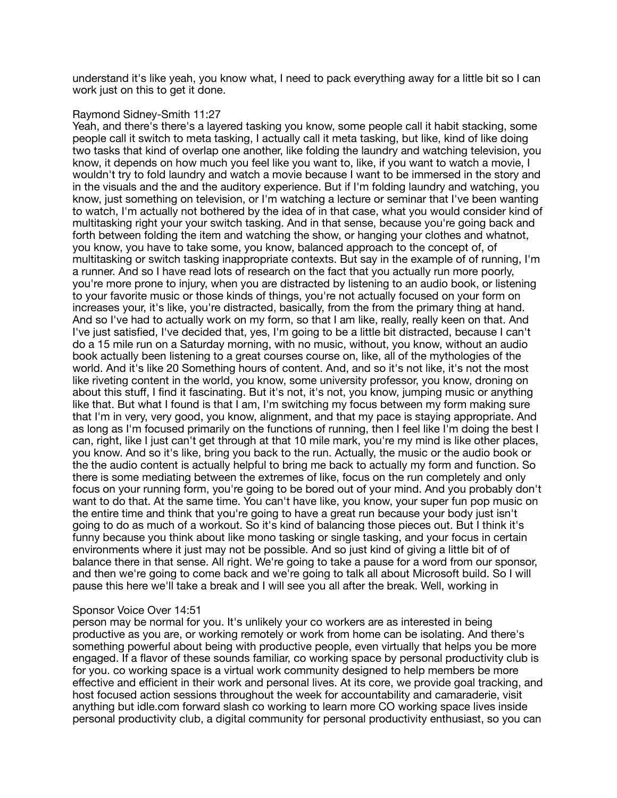understand it's like yeah, you know what, I need to pack everything away for a little bit so I can work just on this to get it done.

## Raymond Sidney-Smith 11:27

Yeah, and there's there's a layered tasking you know, some people call it habit stacking, some people call it switch to meta tasking, I actually call it meta tasking, but like, kind of like doing two tasks that kind of overlap one another, like folding the laundry and watching television, you know, it depends on how much you feel like you want to, like, if you want to watch a movie, I wouldn't try to fold laundry and watch a movie because I want to be immersed in the story and in the visuals and the and the auditory experience. But if I'm folding laundry and watching, you know, just something on television, or I'm watching a lecture or seminar that I've been wanting to watch, I'm actually not bothered by the idea of in that case, what you would consider kind of multitasking right your your switch tasking. And in that sense, because you're going back and forth between folding the item and watching the show, or hanging your clothes and whatnot, you know, you have to take some, you know, balanced approach to the concept of, of multitasking or switch tasking inappropriate contexts. But say in the example of of running, I'm a runner. And so I have read lots of research on the fact that you actually run more poorly, you're more prone to injury, when you are distracted by listening to an audio book, or listening to your favorite music or those kinds of things, you're not actually focused on your form on increases your, it's like, you're distracted, basically, from the from the primary thing at hand. And so I've had to actually work on my form, so that I am like, really, really keen on that. And I've just satisfied, I've decided that, yes, I'm going to be a little bit distracted, because I can't do a 15 mile run on a Saturday morning, with no music, without, you know, without an audio book actually been listening to a great courses course on, like, all of the mythologies of the world. And it's like 20 Something hours of content. And, and so it's not like, it's not the most like riveting content in the world, you know, some university professor, you know, droning on about this stuff, I find it fascinating. But it's not, it's not, you know, jumping music or anything like that. But what I found is that I am, I'm switching my focus between my form making sure that I'm in very, very good, you know, alignment, and that my pace is staying appropriate. And as long as I'm focused primarily on the functions of running, then I feel like I'm doing the best I can, right, like I just can't get through at that 10 mile mark, you're my mind is like other places, you know. And so it's like, bring you back to the run. Actually, the music or the audio book or the the audio content is actually helpful to bring me back to actually my form and function. So there is some mediating between the extremes of like, focus on the run completely and only focus on your running form, you're going to be bored out of your mind. And you probably don't want to do that. At the same time. You can't have like, you know, your super fun pop music on the entire time and think that you're going to have a great run because your body just isn't going to do as much of a workout. So it's kind of balancing those pieces out. But I think it's funny because you think about like mono tasking or single tasking, and your focus in certain environments where it just may not be possible. And so just kind of giving a little bit of of balance there in that sense. All right. We're going to take a pause for a word from our sponsor, and then we're going to come back and we're going to talk all about Microsoft build. So I will pause this here we'll take a break and I will see you all after the break. Well, working in

#### Sponsor Voice Over 14:51

person may be normal for you. It's unlikely your co workers are as interested in being productive as you are, or working remotely or work from home can be isolating. And there's something powerful about being with productive people, even virtually that helps you be more engaged. If a flavor of these sounds familiar, co working space by personal productivity club is for you. co working space is a virtual work community designed to help members be more effective and efficient in their work and personal lives. At its core, we provide goal tracking, and host focused action sessions throughout the week for accountability and camaraderie, visit anything but idle.com forward slash co working to learn more CO working space lives inside personal productivity club, a digital community for personal productivity enthusiast, so you can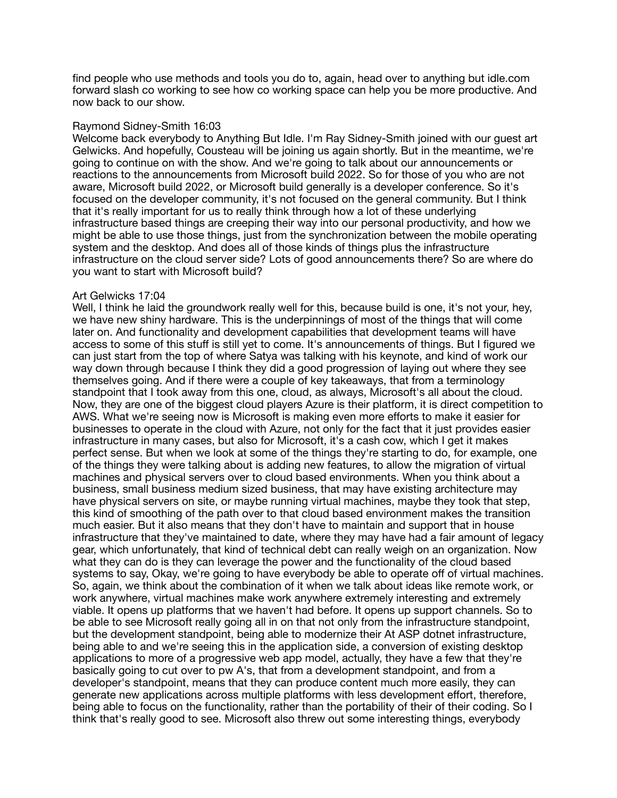find people who use methods and tools you do to, again, head over to anything but idle.com forward slash co working to see how co working space can help you be more productive. And now back to our show.

## Raymond Sidney-Smith 16:03

Welcome back everybody to Anything But Idle. I'm Ray Sidney-Smith joined with our guest art Gelwicks. And hopefully, Cousteau will be joining us again shortly. But in the meantime, we're going to continue on with the show. And we're going to talk about our announcements or reactions to the announcements from Microsoft build 2022. So for those of you who are not aware, Microsoft build 2022, or Microsoft build generally is a developer conference. So it's focused on the developer community, it's not focused on the general community. But I think that it's really important for us to really think through how a lot of these underlying infrastructure based things are creeping their way into our personal productivity, and how we might be able to use those things, just from the synchronization between the mobile operating system and the desktop. And does all of those kinds of things plus the infrastructure infrastructure on the cloud server side? Lots of good announcements there? So are where do you want to start with Microsoft build?

## Art Gelwicks 17:04

Well, I think he laid the groundwork really well for this, because build is one, it's not your, hey, we have new shiny hardware. This is the underpinnings of most of the things that will come later on. And functionality and development capabilities that development teams will have access to some of this stuff is still yet to come. It's announcements of things. But I figured we can just start from the top of where Satya was talking with his keynote, and kind of work our way down through because I think they did a good progression of laying out where they see themselves going. And if there were a couple of key takeaways, that from a terminology standpoint that I took away from this one, cloud, as always, Microsoft's all about the cloud. Now, they are one of the biggest cloud players Azure is their platform, it is direct competition to AWS. What we're seeing now is Microsoft is making even more efforts to make it easier for businesses to operate in the cloud with Azure, not only for the fact that it just provides easier infrastructure in many cases, but also for Microsoft, it's a cash cow, which I get it makes perfect sense. But when we look at some of the things they're starting to do, for example, one of the things they were talking about is adding new features, to allow the migration of virtual machines and physical servers over to cloud based environments. When you think about a business, small business medium sized business, that may have existing architecture may have physical servers on site, or maybe running virtual machines, maybe they took that step, this kind of smoothing of the path over to that cloud based environment makes the transition much easier. But it also means that they don't have to maintain and support that in house infrastructure that they've maintained to date, where they may have had a fair amount of legacy gear, which unfortunately, that kind of technical debt can really weigh on an organization. Now what they can do is they can leverage the power and the functionality of the cloud based systems to say, Okay, we're going to have everybody be able to operate off of virtual machines. So, again, we think about the combination of it when we talk about ideas like remote work, or work anywhere, virtual machines make work anywhere extremely interesting and extremely viable. It opens up platforms that we haven't had before. It opens up support channels. So to be able to see Microsoft really going all in on that not only from the infrastructure standpoint, but the development standpoint, being able to modernize their At ASP dotnet infrastructure, being able to and we're seeing this in the application side, a conversion of existing desktop applications to more of a progressive web app model, actually, they have a few that they're basically going to cut over to pw A's, that from a development standpoint, and from a developer's standpoint, means that they can produce content much more easily, they can generate new applications across multiple platforms with less development effort, therefore, being able to focus on the functionality, rather than the portability of their of their coding. So I think that's really good to see. Microsoft also threw out some interesting things, everybody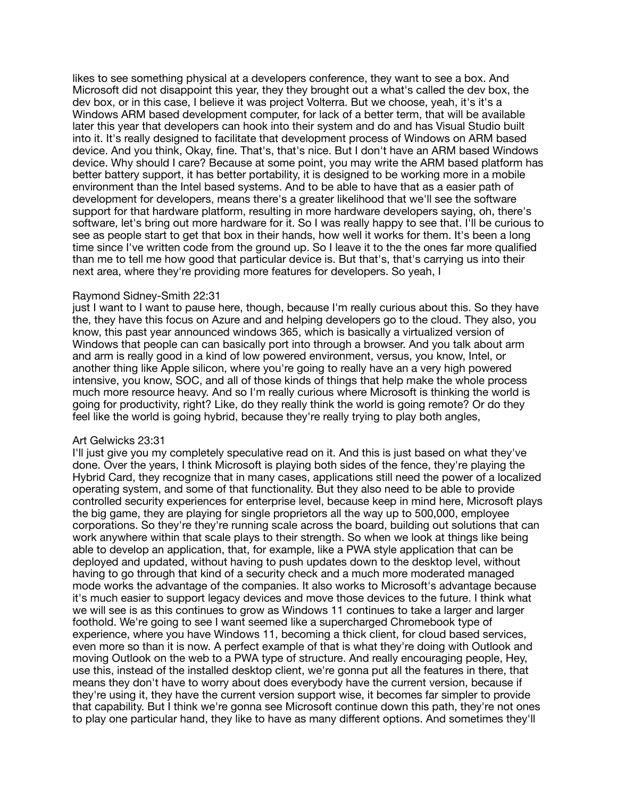likes to see something physical at a developers conference, they want to see a box. And Microsoft did not disappoint this year, they they brought out a what's called the dev box, the dev box, or in this case, I believe it was project Volterra. But we choose, yeah, it's it's a Windows ARM based development computer, for lack of a better term, that will be available later this year that developers can hook into their system and do and has Visual Studio built into it. It's really designed to facilitate that development process of Windows on ARM based device. And you think, Okay, fine. That's, that's nice. But I don't have an ARM based Windows device. Why should I care? Because at some point, you may write the ARM based platform has better battery support, it has better portability, it is designed to be working more in a mobile environment than the Intel based systems. And to be able to have that as a easier path of development for developers, means there's a greater likelihood that we'll see the software support for that hardware platform, resulting in more hardware developers saying, oh, there's software, let's bring out more hardware for it. So I was really happy to see that. I'll be curious to see as people start to get that box in their hands, how well it works for them. It's been a long time since I've written code from the ground up. So I leave it to the the ones far more qualified than me to tell me how good that particular device is. But that's, that's carrying us into their next area, where they're providing more features for developers. So yeah, I

## Raymond Sidney-Smith 22:31

just I want to I want to pause here, though, because I'm really curious about this. So they have the, they have this focus on Azure and and helping developers go to the cloud. They also, you know, this past year announced windows 365, which is basically a virtualized version of Windows that people can can basically port into through a browser. And you talk about arm and arm is really good in a kind of low powered environment, versus, you know, Intel, or another thing like Apple silicon, where you're going to really have an a very high powered intensive, you know, SOC, and all of those kinds of things that help make the whole process much more resource heavy. And so I'm really curious where Microsoft is thinking the world is going for productivity, right? Like, do they really think the world is going remote? Or do they feel like the world is going hybrid, because they're really trying to play both angles,

#### Art Gelwicks 23:31

I'll just give you my completely speculative read on it. And this is just based on what they've done. Over the years, I think Microsoft is playing both sides of the fence, they're playing the Hybrid Card, they recognize that in many cases, applications still need the power of a localized operating system, and some of that functionality. But they also need to be able to provide controlled security experiences for enterprise level, because keep in mind here, Microsoft plays the big game, they are playing for single proprietors all the way up to 500,000, employee corporations. So they're they're running scale across the board, building out solutions that can work anywhere within that scale plays to their strength. So when we look at things like being able to develop an application, that, for example, like a PWA style application that can be deployed and updated, without having to push updates down to the desktop level, without having to go through that kind of a security check and a much more moderated managed mode works the advantage of the companies. It also works to Microsoft's advantage because it's much easier to support legacy devices and move those devices to the future. I think what we will see is as this continues to grow as Windows 11 continues to take a larger and larger foothold. We're going to see I want seemed like a supercharged Chromebook type of experience, where you have Windows 11, becoming a thick client, for cloud based services, even more so than it is now. A perfect example of that is what they're doing with Outlook and moving Outlook on the web to a PWA type of structure. And really encouraging people, Hey, use this, instead of the installed desktop client, we're gonna put all the features in there, that means they don't have to worry about does everybody have the current version, because if they're using it, they have the current version support wise, it becomes far simpler to provide that capability. But I think we're gonna see Microsoft continue down this path, they're not ones to play one particular hand, they like to have as many different options. And sometimes they'll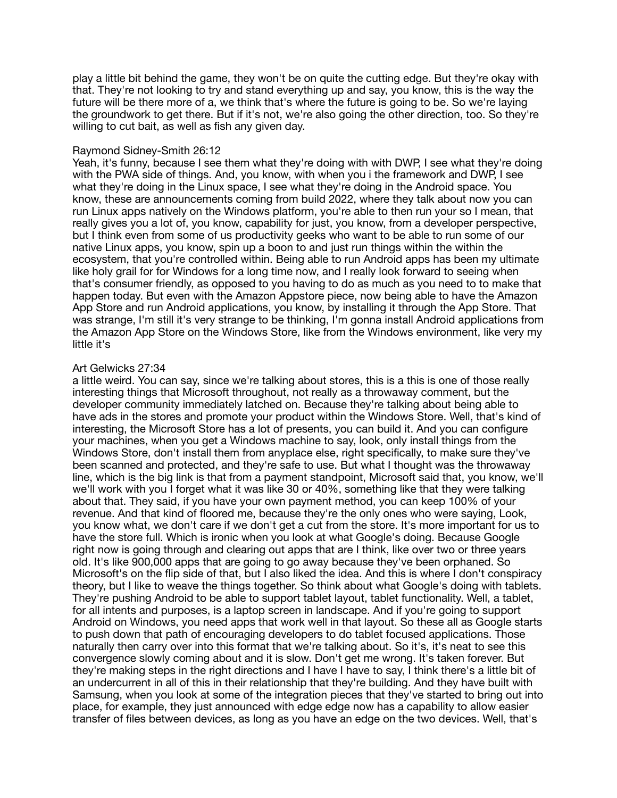play a little bit behind the game, they won't be on quite the cutting edge. But they're okay with that. They're not looking to try and stand everything up and say, you know, this is the way the future will be there more of a, we think that's where the future is going to be. So we're laying the groundwork to get there. But if it's not, we're also going the other direction, too. So they're willing to cut bait, as well as fish any given day.

## Raymond Sidney-Smith 26:12

Yeah, it's funny, because I see them what they're doing with with DWP, I see what they're doing with the PWA side of things. And, you know, with when you i the framework and DWP, I see what they're doing in the Linux space, I see what they're doing in the Android space. You know, these are announcements coming from build 2022, where they talk about now you can run Linux apps natively on the Windows platform, you're able to then run your so I mean, that really gives you a lot of, you know, capability for just, you know, from a developer perspective, but I think even from some of us productivity geeks who want to be able to run some of our native Linux apps, you know, spin up a boon to and just run things within the within the ecosystem, that you're controlled within. Being able to run Android apps has been my ultimate like holy grail for for Windows for a long time now, and I really look forward to seeing when that's consumer friendly, as opposed to you having to do as much as you need to to make that happen today. But even with the Amazon Appstore piece, now being able to have the Amazon App Store and run Android applications, you know, by installing it through the App Store. That was strange, I'm still it's very strange to be thinking, I'm gonna install Android applications from the Amazon App Store on the Windows Store, like from the Windows environment, like very my little it's

# Art Gelwicks 27:34

a little weird. You can say, since we're talking about stores, this is a this is one of those really interesting things that Microsoft throughout, not really as a throwaway comment, but the developer community immediately latched on. Because they're talking about being able to have ads in the stores and promote your product within the Windows Store. Well, that's kind of interesting, the Microsoft Store has a lot of presents, you can build it. And you can configure your machines, when you get a Windows machine to say, look, only install things from the Windows Store, don't install them from anyplace else, right specifically, to make sure they've been scanned and protected, and they're safe to use. But what I thought was the throwaway line, which is the big link is that from a payment standpoint, Microsoft said that, you know, we'll we'll work with you I forget what it was like 30 or 40%, something like that they were talking about that. They said, if you have your own payment method, you can keep 100% of your revenue. And that kind of floored me, because they're the only ones who were saying, Look, you know what, we don't care if we don't get a cut from the store. It's more important for us to have the store full. Which is ironic when you look at what Google's doing. Because Google right now is going through and clearing out apps that are I think, like over two or three years old. It's like 900,000 apps that are going to go away because they've been orphaned. So Microsoft's on the flip side of that, but I also liked the idea. And this is where I don't conspiracy theory, but I like to weave the things together. So think about what Google's doing with tablets. They're pushing Android to be able to support tablet layout, tablet functionality. Well, a tablet, for all intents and purposes, is a laptop screen in landscape. And if you're going to support Android on Windows, you need apps that work well in that layout. So these all as Google starts to push down that path of encouraging developers to do tablet focused applications. Those naturally then carry over into this format that we're talking about. So it's, it's neat to see this convergence slowly coming about and it is slow. Don't get me wrong. It's taken forever. But they're making steps in the right directions and I have I have to say, I think there's a little bit of an undercurrent in all of this in their relationship that they're building. And they have built with Samsung, when you look at some of the integration pieces that they've started to bring out into place, for example, they just announced with edge edge now has a capability to allow easier transfer of files between devices, as long as you have an edge on the two devices. Well, that's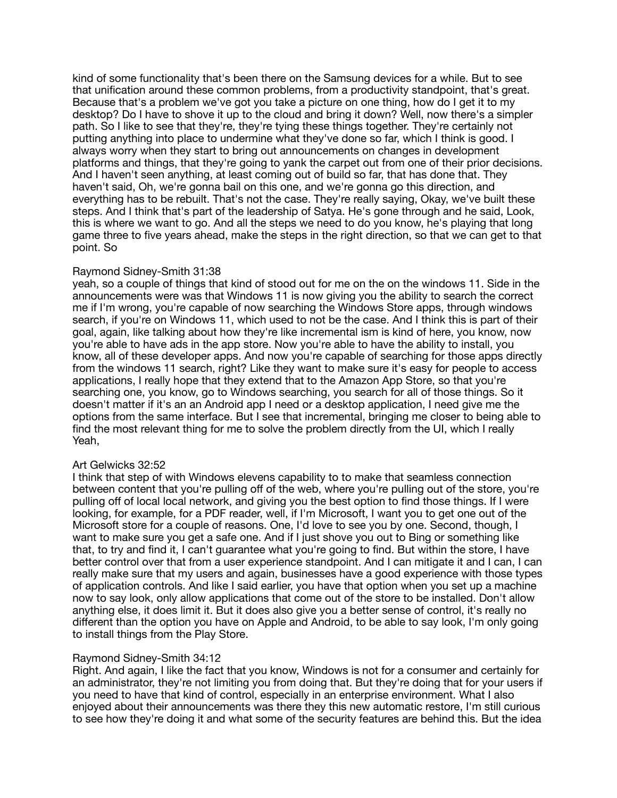kind of some functionality that's been there on the Samsung devices for a while. But to see that unification around these common problems, from a productivity standpoint, that's great. Because that's a problem we've got you take a picture on one thing, how do I get it to my desktop? Do I have to shove it up to the cloud and bring it down? Well, now there's a simpler path. So I like to see that they're, they're tying these things together. They're certainly not putting anything into place to undermine what they've done so far, which I think is good. I always worry when they start to bring out announcements on changes in development platforms and things, that they're going to yank the carpet out from one of their prior decisions. And I haven't seen anything, at least coming out of build so far, that has done that. They haven't said, Oh, we're gonna bail on this one, and we're gonna go this direction, and everything has to be rebuilt. That's not the case. They're really saying, Okay, we've built these steps. And I think that's part of the leadership of Satya. He's gone through and he said, Look, this is where we want to go. And all the steps we need to do you know, he's playing that long game three to five years ahead, make the steps in the right direction, so that we can get to that point. So

# Raymond Sidney-Smith 31:38

yeah, so a couple of things that kind of stood out for me on the on the windows 11. Side in the announcements were was that Windows 11 is now giving you the ability to search the correct me if I'm wrong, you're capable of now searching the Windows Store apps, through windows search, if you're on Windows 11, which used to not be the case. And I think this is part of their goal, again, like talking about how they're like incremental ism is kind of here, you know, now you're able to have ads in the app store. Now you're able to have the ability to install, you know, all of these developer apps. And now you're capable of searching for those apps directly from the windows 11 search, right? Like they want to make sure it's easy for people to access applications, I really hope that they extend that to the Amazon App Store, so that you're searching one, you know, go to Windows searching, you search for all of those things. So it doesn't matter if it's an an Android app I need or a desktop application, I need give me the options from the same interface. But I see that incremental, bringing me closer to being able to find the most relevant thing for me to solve the problem directly from the UI, which I really Yeah,

#### Art Gelwicks 32:52

I think that step of with Windows elevens capability to to make that seamless connection between content that you're pulling off of the web, where you're pulling out of the store, you're pulling off of local local network, and giving you the best option to find those things. If I were looking, for example, for a PDF reader, well, if I'm Microsoft, I want you to get one out of the Microsoft store for a couple of reasons. One, I'd love to see you by one. Second, though, I want to make sure you get a safe one. And if I just shove you out to Bing or something like that, to try and find it, I can't guarantee what you're going to find. But within the store, I have better control over that from a user experience standpoint. And I can mitigate it and I can, I can really make sure that my users and again, businesses have a good experience with those types of application controls. And like I said earlier, you have that option when you set up a machine now to say look, only allow applications that come out of the store to be installed. Don't allow anything else, it does limit it. But it does also give you a better sense of control, it's really no different than the option you have on Apple and Android, to be able to say look, I'm only going to install things from the Play Store.

# Raymond Sidney-Smith 34:12

Right. And again, I like the fact that you know, Windows is not for a consumer and certainly for an administrator, they're not limiting you from doing that. But they're doing that for your users if you need to have that kind of control, especially in an enterprise environment. What I also enjoyed about their announcements was there they this new automatic restore, I'm still curious to see how they're doing it and what some of the security features are behind this. But the idea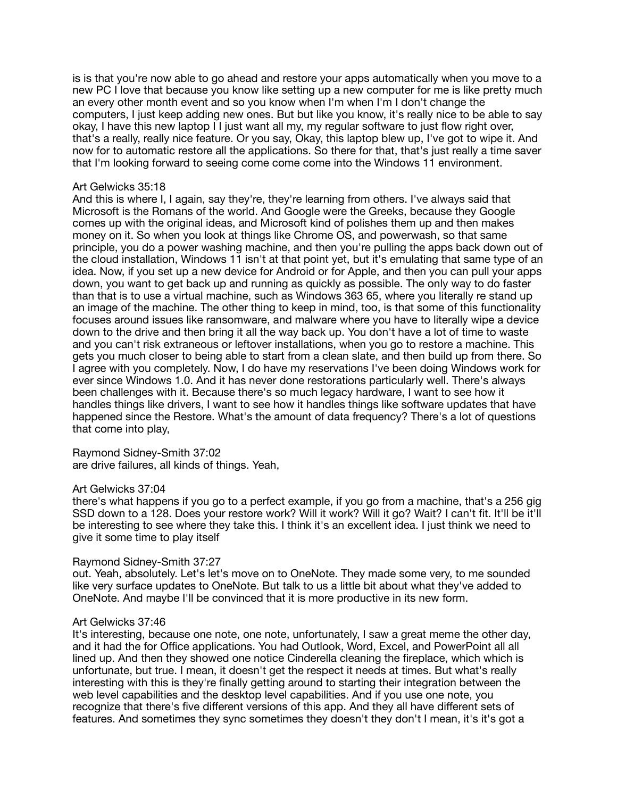is is that you're now able to go ahead and restore your apps automatically when you move to a new PC I love that because you know like setting up a new computer for me is like pretty much an every other month event and so you know when I'm when I'm I don't change the computers, I just keep adding new ones. But but like you know, it's really nice to be able to say okay, I have this new laptop I I just want all my, my regular software to just flow right over, that's a really, really nice feature. Or you say, Okay, this laptop blew up, I've got to wipe it. And now for to automatic restore all the applications. So there for that, that's just really a time saver that I'm looking forward to seeing come come come into the Windows 11 environment.

# Art Gelwicks 35:18

And this is where I, I again, say they're, they're learning from others. I've always said that Microsoft is the Romans of the world. And Google were the Greeks, because they Google comes up with the original ideas, and Microsoft kind of polishes them up and then makes money on it. So when you look at things like Chrome OS, and powerwash, so that same principle, you do a power washing machine, and then you're pulling the apps back down out of the cloud installation, Windows 11 isn't at that point yet, but it's emulating that same type of an idea. Now, if you set up a new device for Android or for Apple, and then you can pull your apps down, you want to get back up and running as quickly as possible. The only way to do faster than that is to use a virtual machine, such as Windows 363 65, where you literally re stand up an image of the machine. The other thing to keep in mind, too, is that some of this functionality focuses around issues like ransomware, and malware where you have to literally wipe a device down to the drive and then bring it all the way back up. You don't have a lot of time to waste and you can't risk extraneous or leftover installations, when you go to restore a machine. This gets you much closer to being able to start from a clean slate, and then build up from there. So I agree with you completely. Now, I do have my reservations I've been doing Windows work for ever since Windows 1.0. And it has never done restorations particularly well. There's always been challenges with it. Because there's so much legacy hardware, I want to see how it handles things like drivers, I want to see how it handles things like software updates that have happened since the Restore. What's the amount of data frequency? There's a lot of questions that come into play,

# Raymond Sidney-Smith 37:02

are drive failures, all kinds of things. Yeah,

# Art Gelwicks 37:04

there's what happens if you go to a perfect example, if you go from a machine, that's a 256 gig SSD down to a 128. Does your restore work? Will it work? Will it go? Wait? I can't fit. It'll be it'll be interesting to see where they take this. I think it's an excellent idea. I just think we need to give it some time to play itself

#### Raymond Sidney-Smith 37:27

out. Yeah, absolutely. Let's let's move on to OneNote. They made some very, to me sounded like very surface updates to OneNote. But talk to us a little bit about what they've added to OneNote. And maybe I'll be convinced that it is more productive in its new form.

## Art Gelwicks 37:46

It's interesting, because one note, one note, unfortunately, I saw a great meme the other day, and it had the for Office applications. You had Outlook, Word, Excel, and PowerPoint all all lined up. And then they showed one notice Cinderella cleaning the fireplace, which which is unfortunate, but true. I mean, it doesn't get the respect it needs at times. But what's really interesting with this is they're finally getting around to starting their integration between the web level capabilities and the desktop level capabilities. And if you use one note, you recognize that there's five different versions of this app. And they all have different sets of features. And sometimes they sync sometimes they doesn't they don't I mean, it's it's got a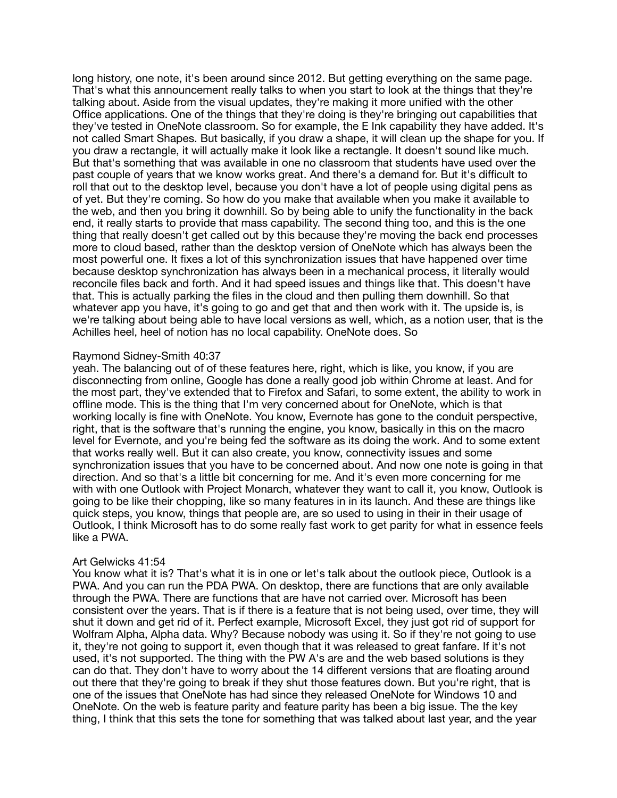long history, one note, it's been around since 2012. But getting everything on the same page. That's what this announcement really talks to when you start to look at the things that they're talking about. Aside from the visual updates, they're making it more unified with the other Office applications. One of the things that they're doing is they're bringing out capabilities that they've tested in OneNote classroom. So for example, the E Ink capability they have added. It's not called Smart Shapes. But basically, if you draw a shape, it will clean up the shape for you. If you draw a rectangle, it will actually make it look like a rectangle. It doesn't sound like much. But that's something that was available in one no classroom that students have used over the past couple of years that we know works great. And there's a demand for. But it's difficult to roll that out to the desktop level, because you don't have a lot of people using digital pens as of yet. But they're coming. So how do you make that available when you make it available to the web, and then you bring it downhill. So by being able to unify the functionality in the back end, it really starts to provide that mass capability. The second thing too, and this is the one thing that really doesn't get called out by this because they're moving the back end processes more to cloud based, rather than the desktop version of OneNote which has always been the most powerful one. It fixes a lot of this synchronization issues that have happened over time because desktop synchronization has always been in a mechanical process, it literally would reconcile files back and forth. And it had speed issues and things like that. This doesn't have that. This is actually parking the files in the cloud and then pulling them downhill. So that whatever app you have, it's going to go and get that and then work with it. The upside is, is we're talking about being able to have local versions as well, which, as a notion user, that is the Achilles heel, heel of notion has no local capability. OneNote does. So

## Raymond Sidney-Smith 40:37

yeah. The balancing out of of these features here, right, which is like, you know, if you are disconnecting from online, Google has done a really good job within Chrome at least. And for the most part, they've extended that to Firefox and Safari, to some extent, the ability to work in offline mode. This is the thing that I'm very concerned about for OneNote, which is that working locally is fine with OneNote. You know, Evernote has gone to the conduit perspective, right, that is the software that's running the engine, you know, basically in this on the macro level for Evernote, and you're being fed the software as its doing the work. And to some extent that works really well. But it can also create, you know, connectivity issues and some synchronization issues that you have to be concerned about. And now one note is going in that direction. And so that's a little bit concerning for me. And it's even more concerning for me with with one Outlook with Project Monarch, whatever they want to call it, you know, Outlook is going to be like their chopping, like so many features in in its launch. And these are things like quick steps, you know, things that people are, are so used to using in their in their usage of Outlook, I think Microsoft has to do some really fast work to get parity for what in essence feels like a PWA.

#### Art Gelwicks 41:54

You know what it is? That's what it is in one or let's talk about the outlook piece, Outlook is a PWA. And you can run the PDA PWA. On desktop, there are functions that are only available through the PWA. There are functions that are have not carried over. Microsoft has been consistent over the years. That is if there is a feature that is not being used, over time, they will shut it down and get rid of it. Perfect example, Microsoft Excel, they just got rid of support for Wolfram Alpha, Alpha data. Why? Because nobody was using it. So if they're not going to use it, they're not going to support it, even though that it was released to great fanfare. If it's not used, it's not supported. The thing with the PW A's are and the web based solutions is they can do that. They don't have to worry about the 14 different versions that are floating around out there that they're going to break if they shut those features down. But you're right, that is one of the issues that OneNote has had since they released OneNote for Windows 10 and OneNote. On the web is feature parity and feature parity has been a big issue. The the key thing, I think that this sets the tone for something that was talked about last year, and the year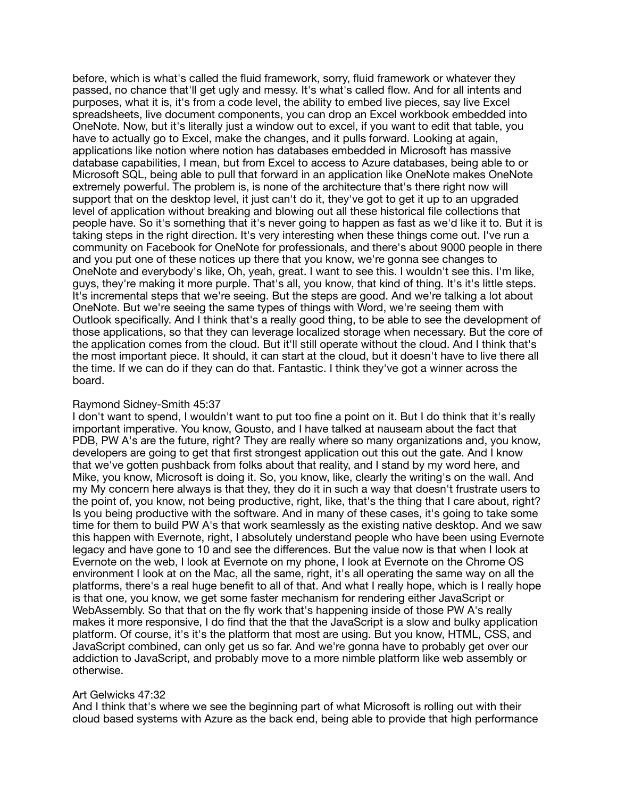before, which is what's called the fluid framework, sorry, fluid framework or whatever they passed, no chance that'll get ugly and messy. It's what's called flow. And for all intents and purposes, what it is, it's from a code level, the ability to embed live pieces, say live Excel spreadsheets, live document components, you can drop an Excel workbook embedded into OneNote. Now, but it's literally just a window out to excel, if you want to edit that table, you have to actually go to Excel, make the changes, and it pulls forward. Looking at again, applications like notion where notion has databases embedded in Microsoft has massive database capabilities, I mean, but from Excel to access to Azure databases, being able to or Microsoft SQL, being able to pull that forward in an application like OneNote makes OneNote extremely powerful. The problem is, is none of the architecture that's there right now will support that on the desktop level, it just can't do it, they've got to get it up to an upgraded level of application without breaking and blowing out all these historical file collections that people have. So it's something that it's never going to happen as fast as we'd like it to. But it is taking steps in the right direction. It's very interesting when these things come out. I've run a community on Facebook for OneNote for professionals, and there's about 9000 people in there and you put one of these notices up there that you know, we're gonna see changes to OneNote and everybody's like, Oh, yeah, great. I want to see this. I wouldn't see this. I'm like, guys, they're making it more purple. That's all, you know, that kind of thing. It's it's little steps. It's incremental steps that we're seeing. But the steps are good. And we're talking a lot about OneNote. But we're seeing the same types of things with Word, we're seeing them with Outlook specifically. And I think that's a really good thing, to be able to see the development of those applications, so that they can leverage localized storage when necessary. But the core of the application comes from the cloud. But it'll still operate without the cloud. And I think that's the most important piece. It should, it can start at the cloud, but it doesn't have to live there all the time. If we can do if they can do that. Fantastic. I think they've got a winner across the board.

## Raymond Sidney-Smith 45:37

I don't want to spend, I wouldn't want to put too fine a point on it. But I do think that it's really important imperative. You know, Gousto, and I have talked at nauseam about the fact that PDB, PW A's are the future, right? They are really where so many organizations and, you know, developers are going to get that first strongest application out this out the gate. And I know that we've gotten pushback from folks about that reality, and I stand by my word here, and Mike, you know, Microsoft is doing it. So, you know, like, clearly the writing's on the wall. And my My concern here always is that they, they do it in such a way that doesn't frustrate users to the point of, you know, not being productive, right, like, that's the thing that I care about, right? Is you being productive with the software. And in many of these cases, it's going to take some time for them to build PW A's that work seamlessly as the existing native desktop. And we saw this happen with Evernote, right, I absolutely understand people who have been using Evernote legacy and have gone to 10 and see the differences. But the value now is that when I look at Evernote on the web, I look at Evernote on my phone, I look at Evernote on the Chrome OS environment I look at on the Mac, all the same, right, it's all operating the same way on all the platforms, there's a real huge benefit to all of that. And what I really hope, which is I really hope is that one, you know, we get some faster mechanism for rendering either JavaScript or WebAssembly. So that that on the fly work that's happening inside of those PW A's really makes it more responsive, I do find that the that the JavaScript is a slow and bulky application platform. Of course, it's it's the platform that most are using. But you know, HTML, CSS, and JavaScript combined, can only get us so far. And we're gonna have to probably get over our addiction to JavaScript, and probably move to a more nimble platform like web assembly or otherwise.

#### Art Gelwicks 47:32

And I think that's where we see the beginning part of what Microsoft is rolling out with their cloud based systems with Azure as the back end, being able to provide that high performance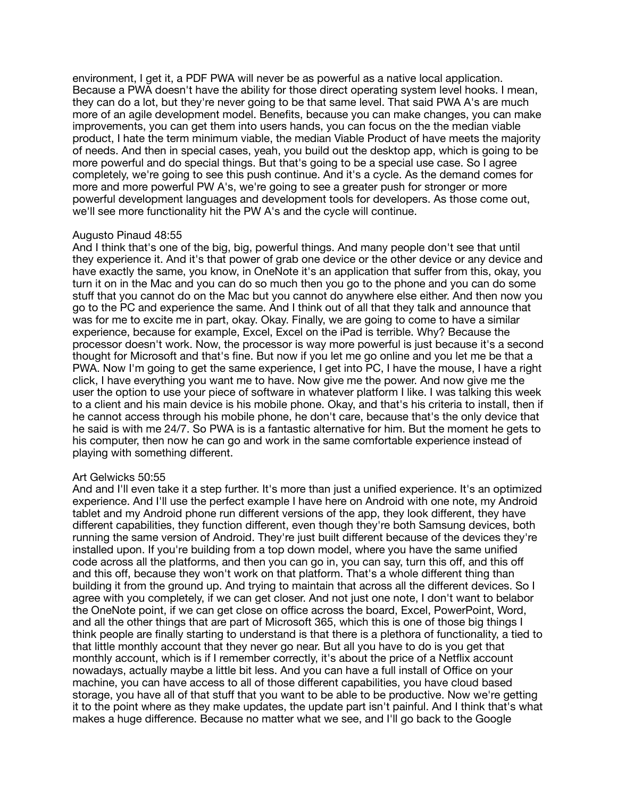environment, I get it, a PDF PWA will never be as powerful as a native local application. Because a PWA doesn't have the ability for those direct operating system level hooks. I mean, they can do a lot, but they're never going to be that same level. That said PWA A's are much more of an agile development model. Benefits, because you can make changes, you can make improvements, you can get them into users hands, you can focus on the the median viable product, I hate the term minimum viable, the median Viable Product of have meets the majority of needs. And then in special cases, yeah, you build out the desktop app, which is going to be more powerful and do special things. But that's going to be a special use case. So I agree completely, we're going to see this push continue. And it's a cycle. As the demand comes for more and more powerful PW A's, we're going to see a greater push for stronger or more powerful development languages and development tools for developers. As those come out, we'll see more functionality hit the PW A's and the cycle will continue.

# Augusto Pinaud 48:55

And I think that's one of the big, big, powerful things. And many people don't see that until they experience it. And it's that power of grab one device or the other device or any device and have exactly the same, you know, in OneNote it's an application that suffer from this, okay, you turn it on in the Mac and you can do so much then you go to the phone and you can do some stuff that you cannot do on the Mac but you cannot do anywhere else either. And then now you go to the PC and experience the same. And I think out of all that they talk and announce that was for me to excite me in part, okay. Okay. Finally, we are going to come to have a similar experience, because for example, Excel, Excel on the iPad is terrible. Why? Because the processor doesn't work. Now, the processor is way more powerful is just because it's a second thought for Microsoft and that's fine. But now if you let me go online and you let me be that a PWA. Now I'm going to get the same experience, I get into PC, I have the mouse, I have a right click, I have everything you want me to have. Now give me the power. And now give me the user the option to use your piece of software in whatever platform I like. I was talking this week to a client and his main device is his mobile phone. Okay, and that's his criteria to install, then if he cannot access through his mobile phone, he don't care, because that's the only device that he said is with me 24/7. So PWA is is a fantastic alternative for him. But the moment he gets to his computer, then now he can go and work in the same comfortable experience instead of playing with something different.

#### Art Gelwicks 50:55

And and I'll even take it a step further. It's more than just a unified experience. It's an optimized experience. And I'll use the perfect example I have here on Android with one note, my Android tablet and my Android phone run different versions of the app, they look different, they have different capabilities, they function different, even though they're both Samsung devices, both running the same version of Android. They're just built different because of the devices they're installed upon. If you're building from a top down model, where you have the same unified code across all the platforms, and then you can go in, you can say, turn this off, and this off and this off, because they won't work on that platform. That's a whole different thing than building it from the ground up. And trying to maintain that across all the different devices. So I agree with you completely, if we can get closer. And not just one note, I don't want to belabor the OneNote point, if we can get close on office across the board, Excel, PowerPoint, Word, and all the other things that are part of Microsoft 365, which this is one of those big things I think people are finally starting to understand is that there is a plethora of functionality, a tied to that little monthly account that they never go near. But all you have to do is you get that monthly account, which is if I remember correctly, it's about the price of a Netflix account nowadays, actually maybe a little bit less. And you can have a full install of Office on your machine, you can have access to all of those different capabilities, you have cloud based storage, you have all of that stuff that you want to be able to be productive. Now we're getting it to the point where as they make updates, the update part isn't painful. And I think that's what makes a huge difference. Because no matter what we see, and I'll go back to the Google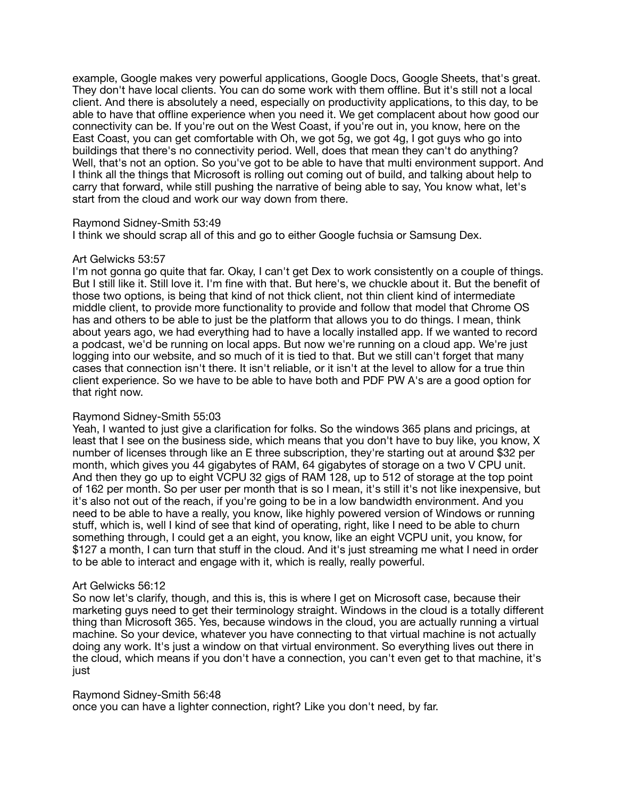example, Google makes very powerful applications, Google Docs, Google Sheets, that's great. They don't have local clients. You can do some work with them offline. But it's still not a local client. And there is absolutely a need, especially on productivity applications, to this day, to be able to have that offline experience when you need it. We get complacent about how good our connectivity can be. If you're out on the West Coast, if you're out in, you know, here on the East Coast, you can get comfortable with Oh, we got 5g, we got 4g, I got guys who go into buildings that there's no connectivity period. Well, does that mean they can't do anything? Well, that's not an option. So you've got to be able to have that multi environment support. And I think all the things that Microsoft is rolling out coming out of build, and talking about help to carry that forward, while still pushing the narrative of being able to say, You know what, let's start from the cloud and work our way down from there.

## Raymond Sidney-Smith 53:49

I think we should scrap all of this and go to either Google fuchsia or Samsung Dex.

## Art Gelwicks 53:57

I'm not gonna go quite that far. Okay, I can't get Dex to work consistently on a couple of things. But I still like it. Still love it. I'm fine with that. But here's, we chuckle about it. But the benefit of those two options, is being that kind of not thick client, not thin client kind of intermediate middle client, to provide more functionality to provide and follow that model that Chrome OS has and others to be able to just be the platform that allows you to do things. I mean, think about years ago, we had everything had to have a locally installed app. If we wanted to record a podcast, we'd be running on local apps. But now we're running on a cloud app. We're just logging into our website, and so much of it is tied to that. But we still can't forget that many cases that connection isn't there. It isn't reliable, or it isn't at the level to allow for a true thin client experience. So we have to be able to have both and PDF PW A's are a good option for that right now.

# Raymond Sidney-Smith 55:03

Yeah, I wanted to just give a clarification for folks. So the windows 365 plans and pricings, at least that I see on the business side, which means that you don't have to buy like, you know, X number of licenses through like an E three subscription, they're starting out at around \$32 per month, which gives you 44 gigabytes of RAM, 64 gigabytes of storage on a two V CPU unit. And then they go up to eight VCPU 32 gigs of RAM 128, up to 512 of storage at the top point of 162 per month. So per user per month that is so I mean, it's still it's not like inexpensive, but it's also not out of the reach, if you're going to be in a low bandwidth environment. And you need to be able to have a really, you know, like highly powered version of Windows or running stuff, which is, well I kind of see that kind of operating, right, like I need to be able to churn something through, I could get a an eight, you know, like an eight VCPU unit, you know, for \$127 a month, I can turn that stuff in the cloud. And it's just streaming me what I need in order to be able to interact and engage with it, which is really, really powerful.

#### Art Gelwicks 56:12

So now let's clarify, though, and this is, this is where I get on Microsoft case, because their marketing guys need to get their terminology straight. Windows in the cloud is a totally different thing than Microsoft 365. Yes, because windows in the cloud, you are actually running a virtual machine. So your device, whatever you have connecting to that virtual machine is not actually doing any work. It's just a window on that virtual environment. So everything lives out there in the cloud, which means if you don't have a connection, you can't even get to that machine, it's just

## Raymond Sidney-Smith 56:48

once you can have a lighter connection, right? Like you don't need, by far.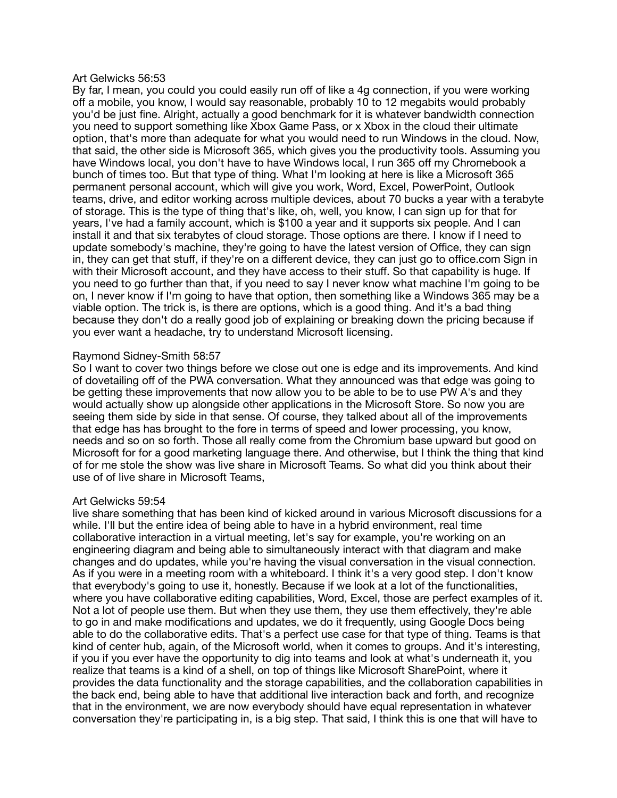#### Art Gelwicks 56:53

By far, I mean, you could you could easily run off of like a 4g connection, if you were working off a mobile, you know, I would say reasonable, probably 10 to 12 megabits would probably you'd be just fine. Alright, actually a good benchmark for it is whatever bandwidth connection you need to support something like Xbox Game Pass, or x Xbox in the cloud their ultimate option, that's more than adequate for what you would need to run Windows in the cloud. Now, that said, the other side is Microsoft 365, which gives you the productivity tools. Assuming you have Windows local, you don't have to have Windows local, I run 365 off my Chromebook a bunch of times too. But that type of thing. What I'm looking at here is like a Microsoft 365 permanent personal account, which will give you work, Word, Excel, PowerPoint, Outlook teams, drive, and editor working across multiple devices, about 70 bucks a year with a terabyte of storage. This is the type of thing that's like, oh, well, you know, I can sign up for that for years, I've had a family account, which is \$100 a year and it supports six people. And I can install it and that six terabytes of cloud storage. Those options are there. I know if I need to update somebody's machine, they're going to have the latest version of Office, they can sign in, they can get that stuff, if they're on a different device, they can just go to office.com Sign in with their Microsoft account, and they have access to their stuff. So that capability is huge. If you need to go further than that, if you need to say I never know what machine I'm going to be on, I never know if I'm going to have that option, then something like a Windows 365 may be a viable option. The trick is, is there are options, which is a good thing. And it's a bad thing because they don't do a really good job of explaining or breaking down the pricing because if you ever want a headache, try to understand Microsoft licensing.

## Raymond Sidney-Smith 58:57

So I want to cover two things before we close out one is edge and its improvements. And kind of dovetailing off of the PWA conversation. What they announced was that edge was going to be getting these improvements that now allow you to be able to be to use PW A's and they would actually show up alongside other applications in the Microsoft Store. So now you are seeing them side by side in that sense. Of course, they talked about all of the improvements that edge has has brought to the fore in terms of speed and lower processing, you know, needs and so on so forth. Those all really come from the Chromium base upward but good on Microsoft for for a good marketing language there. And otherwise, but I think the thing that kind of for me stole the show was live share in Microsoft Teams. So what did you think about their use of of live share in Microsoft Teams,

# Art Gelwicks 59:54

live share something that has been kind of kicked around in various Microsoft discussions for a while. I'll but the entire idea of being able to have in a hybrid environment, real time collaborative interaction in a virtual meeting, let's say for example, you're working on an engineering diagram and being able to simultaneously interact with that diagram and make changes and do updates, while you're having the visual conversation in the visual connection. As if you were in a meeting room with a whiteboard. I think it's a very good step. I don't know that everybody's going to use it, honestly. Because if we look at a lot of the functionalities, where you have collaborative editing capabilities, Word, Excel, those are perfect examples of it. Not a lot of people use them. But when they use them, they use them effectively, they're able to go in and make modifications and updates, we do it frequently, using Google Docs being able to do the collaborative edits. That's a perfect use case for that type of thing. Teams is that kind of center hub, again, of the Microsoft world, when it comes to groups. And it's interesting, if you if you ever have the opportunity to dig into teams and look at what's underneath it, you realize that teams is a kind of a shell, on top of things like Microsoft SharePoint, where it provides the data functionality and the storage capabilities, and the collaboration capabilities in the back end, being able to have that additional live interaction back and forth, and recognize that in the environment, we are now everybody should have equal representation in whatever conversation they're participating in, is a big step. That said, I think this is one that will have to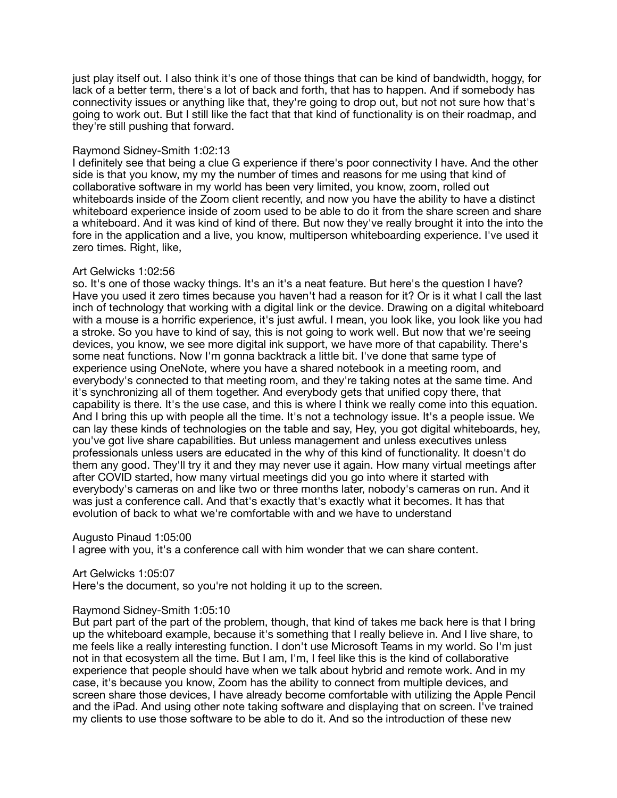just play itself out. I also think it's one of those things that can be kind of bandwidth, hoggy, for lack of a better term, there's a lot of back and forth, that has to happen. And if somebody has connectivity issues or anything like that, they're going to drop out, but not not sure how that's going to work out. But I still like the fact that that kind of functionality is on their roadmap, and they're still pushing that forward.

# Raymond Sidney-Smith 1:02:13

I definitely see that being a clue G experience if there's poor connectivity I have. And the other side is that you know, my my the number of times and reasons for me using that kind of collaborative software in my world has been very limited, you know, zoom, rolled out whiteboards inside of the Zoom client recently, and now you have the ability to have a distinct whiteboard experience inside of zoom used to be able to do it from the share screen and share a whiteboard. And it was kind of kind of there. But now they've really brought it into the into the fore in the application and a live, you know, multiperson whiteboarding experience. I've used it zero times. Right, like,

## Art Gelwicks 1:02:56

so. It's one of those wacky things. It's an it's a neat feature. But here's the question I have? Have you used it zero times because you haven't had a reason for it? Or is it what I call the last inch of technology that working with a digital link or the device. Drawing on a digital whiteboard with a mouse is a horrific experience, it's just awful. I mean, you look like, you look like you had a stroke. So you have to kind of say, this is not going to work well. But now that we're seeing devices, you know, we see more digital ink support, we have more of that capability. There's some neat functions. Now I'm gonna backtrack a little bit. I've done that same type of experience using OneNote, where you have a shared notebook in a meeting room, and everybody's connected to that meeting room, and they're taking notes at the same time. And it's synchronizing all of them together. And everybody gets that unified copy there, that capability is there. It's the use case, and this is where I think we really come into this equation. And I bring this up with people all the time. It's not a technology issue. It's a people issue. We can lay these kinds of technologies on the table and say, Hey, you got digital whiteboards, hey, you've got live share capabilities. But unless management and unless executives unless professionals unless users are educated in the why of this kind of functionality. It doesn't do them any good. They'll try it and they may never use it again. How many virtual meetings after after COVID started, how many virtual meetings did you go into where it started with everybody's cameras on and like two or three months later, nobody's cameras on run. And it was just a conference call. And that's exactly that's exactly what it becomes. It has that evolution of back to what we're comfortable with and we have to understand

Augusto Pinaud 1:05:00

I agree with you, it's a conference call with him wonder that we can share content.

Art Gelwicks 1:05:07

Here's the document, so you're not holding it up to the screen.

#### Raymond Sidney-Smith 1:05:10

But part part of the part of the problem, though, that kind of takes me back here is that I bring up the whiteboard example, because it's something that I really believe in. And I live share, to me feels like a really interesting function. I don't use Microsoft Teams in my world. So I'm just not in that ecosystem all the time. But I am, I'm, I feel like this is the kind of collaborative experience that people should have when we talk about hybrid and remote work. And in my case, it's because you know, Zoom has the ability to connect from multiple devices, and screen share those devices, I have already become comfortable with utilizing the Apple Pencil and the iPad. And using other note taking software and displaying that on screen. I've trained my clients to use those software to be able to do it. And so the introduction of these new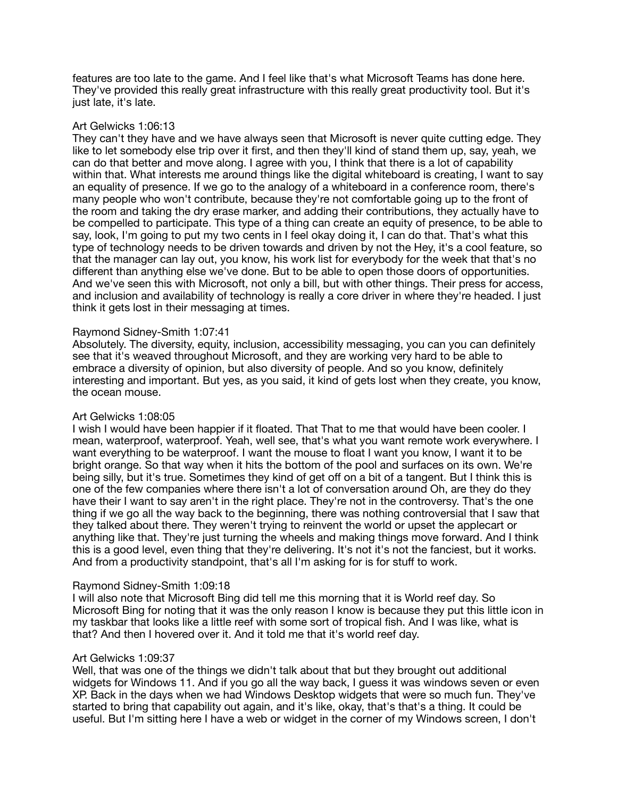features are too late to the game. And I feel like that's what Microsoft Teams has done here. They've provided this really great infrastructure with this really great productivity tool. But it's just late, it's late.

# Art Gelwicks 1:06:13

They can't they have and we have always seen that Microsoft is never quite cutting edge. They like to let somebody else trip over it first, and then they'll kind of stand them up, say, yeah, we can do that better and move along. I agree with you, I think that there is a lot of capability within that. What interests me around things like the digital whiteboard is creating, I want to say an equality of presence. If we go to the analogy of a whiteboard in a conference room, there's many people who won't contribute, because they're not comfortable going up to the front of the room and taking the dry erase marker, and adding their contributions, they actually have to be compelled to participate. This type of a thing can create an equity of presence, to be able to say, look, I'm going to put my two cents in I feel okay doing it, I can do that. That's what this type of technology needs to be driven towards and driven by not the Hey, it's a cool feature, so that the manager can lay out, you know, his work list for everybody for the week that that's no different than anything else we've done. But to be able to open those doors of opportunities. And we've seen this with Microsoft, not only a bill, but with other things. Their press for access, and inclusion and availability of technology is really a core driver in where they're headed. I just think it gets lost in their messaging at times.

## Raymond Sidney-Smith 1:07:41

Absolutely. The diversity, equity, inclusion, accessibility messaging, you can you can definitely see that it's weaved throughout Microsoft, and they are working very hard to be able to embrace a diversity of opinion, but also diversity of people. And so you know, definitely interesting and important. But yes, as you said, it kind of gets lost when they create, you know, the ocean mouse.

# Art Gelwicks 1:08:05

I wish I would have been happier if it floated. That That to me that would have been cooler. I mean, waterproof, waterproof. Yeah, well see, that's what you want remote work everywhere. I want everything to be waterproof. I want the mouse to float I want you know, I want it to be bright orange. So that way when it hits the bottom of the pool and surfaces on its own. We're being silly, but it's true. Sometimes they kind of get off on a bit of a tangent. But I think this is one of the few companies where there isn't a lot of conversation around Oh, are they do they have their I want to say aren't in the right place. They're not in the controversy. That's the one thing if we go all the way back to the beginning, there was nothing controversial that I saw that they talked about there. They weren't trying to reinvent the world or upset the applecart or anything like that. They're just turning the wheels and making things move forward. And I think this is a good level, even thing that they're delivering. It's not it's not the fanciest, but it works. And from a productivity standpoint, that's all I'm asking for is for stuff to work.

# Raymond Sidney-Smith 1:09:18

I will also note that Microsoft Bing did tell me this morning that it is World reef day. So Microsoft Bing for noting that it was the only reason I know is because they put this little icon in my taskbar that looks like a little reef with some sort of tropical fish. And I was like, what is that? And then I hovered over it. And it told me that it's world reef day.

#### Art Gelwicks 1:09:37

Well, that was one of the things we didn't talk about that but they brought out additional widgets for Windows 11. And if you go all the way back, I guess it was windows seven or even XP. Back in the days when we had Windows Desktop widgets that were so much fun. They've started to bring that capability out again, and it's like, okay, that's that's a thing. It could be useful. But I'm sitting here I have a web or widget in the corner of my Windows screen, I don't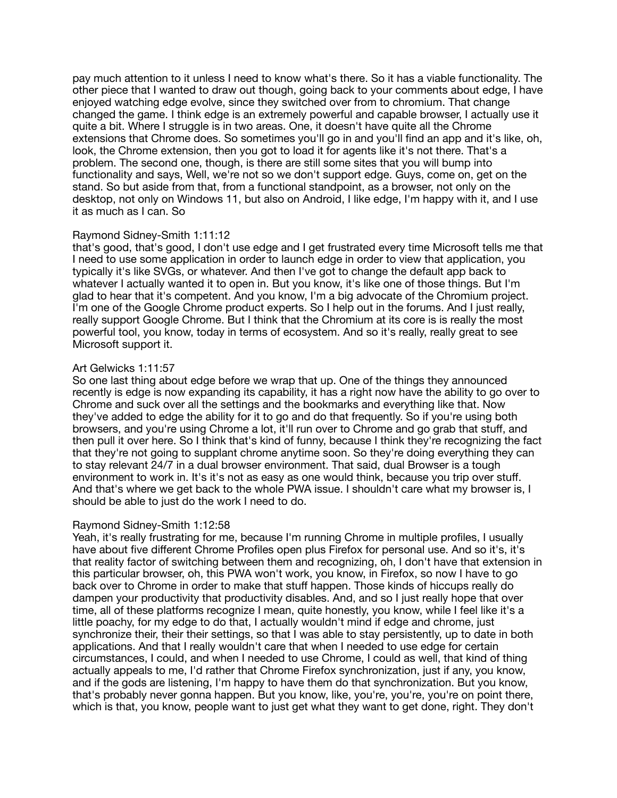pay much attention to it unless I need to know what's there. So it has a viable functionality. The other piece that I wanted to draw out though, going back to your comments about edge, I have enjoyed watching edge evolve, since they switched over from to chromium. That change changed the game. I think edge is an extremely powerful and capable browser, I actually use it quite a bit. Where I struggle is in two areas. One, it doesn't have quite all the Chrome extensions that Chrome does. So sometimes you'll go in and you'll find an app and it's like, oh, look, the Chrome extension, then you got to load it for agents like it's not there. That's a problem. The second one, though, is there are still some sites that you will bump into functionality and says, Well, we're not so we don't support edge. Guys, come on, get on the stand. So but aside from that, from a functional standpoint, as a browser, not only on the desktop, not only on Windows 11, but also on Android, I like edge, I'm happy with it, and I use it as much as I can. So

# Raymond Sidney-Smith 1:11:12

that's good, that's good, I don't use edge and I get frustrated every time Microsoft tells me that I need to use some application in order to launch edge in order to view that application, you typically it's like SVGs, or whatever. And then I've got to change the default app back to whatever I actually wanted it to open in. But you know, it's like one of those things. But I'm glad to hear that it's competent. And you know, I'm a big advocate of the Chromium project. I'm one of the Google Chrome product experts. So I help out in the forums. And I just really, really support Google Chrome. But I think that the Chromium at its core is is really the most powerful tool, you know, today in terms of ecosystem. And so it's really, really great to see Microsoft support it.

## Art Gelwicks 1:11:57

So one last thing about edge before we wrap that up. One of the things they announced recently is edge is now expanding its capability, it has a right now have the ability to go over to Chrome and suck over all the settings and the bookmarks and everything like that. Now they've added to edge the ability for it to go and do that frequently. So if you're using both browsers, and you're using Chrome a lot, it'll run over to Chrome and go grab that stuff, and then pull it over here. So I think that's kind of funny, because I think they're recognizing the fact that they're not going to supplant chrome anytime soon. So they're doing everything they can to stay relevant 24/7 in a dual browser environment. That said, dual Browser is a tough environment to work in. It's it's not as easy as one would think, because you trip over stuff. And that's where we get back to the whole PWA issue. I shouldn't care what my browser is, I should be able to just do the work I need to do.

#### Raymond Sidney-Smith 1:12:58

Yeah, it's really frustrating for me, because I'm running Chrome in multiple profiles, I usually have about five different Chrome Profiles open plus Firefox for personal use. And so it's, it's that reality factor of switching between them and recognizing, oh, I don't have that extension in this particular browser, oh, this PWA won't work, you know, in Firefox, so now I have to go back over to Chrome in order to make that stuff happen. Those kinds of hiccups really do dampen your productivity that productivity disables. And, and so I just really hope that over time, all of these platforms recognize I mean, quite honestly, you know, while I feel like it's a little poachy, for my edge to do that, I actually wouldn't mind if edge and chrome, just synchronize their, their their settings, so that I was able to stay persistently, up to date in both applications. And that I really wouldn't care that when I needed to use edge for certain circumstances, I could, and when I needed to use Chrome, I could as well, that kind of thing actually appeals to me, I'd rather that Chrome Firefox synchronization, just if any, you know, and if the gods are listening, I'm happy to have them do that synchronization. But you know, that's probably never gonna happen. But you know, like, you're, you're, you're on point there, which is that, you know, people want to just get what they want to get done, right. They don't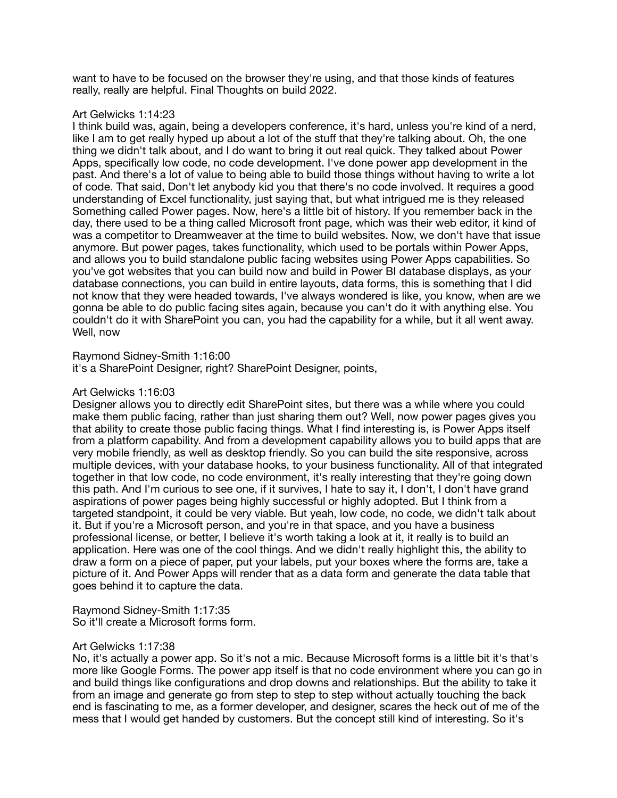want to have to be focused on the browser they're using, and that those kinds of features really, really are helpful. Final Thoughts on build 2022.

# Art Gelwicks 1:14:23

I think build was, again, being a developers conference, it's hard, unless you're kind of a nerd, like I am to get really hyped up about a lot of the stuff that they're talking about. Oh, the one thing we didn't talk about, and I do want to bring it out real quick. They talked about Power Apps, specifically low code, no code development. I've done power app development in the past. And there's a lot of value to being able to build those things without having to write a lot of code. That said, Don't let anybody kid you that there's no code involved. It requires a good understanding of Excel functionality, just saying that, but what intrigued me is they released Something called Power pages. Now, here's a little bit of history. If you remember back in the day, there used to be a thing called Microsoft front page, which was their web editor, it kind of was a competitor to Dreamweaver at the time to build websites. Now, we don't have that issue anymore. But power pages, takes functionality, which used to be portals within Power Apps, and allows you to build standalone public facing websites using Power Apps capabilities. So you've got websites that you can build now and build in Power BI database displays, as your database connections, you can build in entire layouts, data forms, this is something that I did not know that they were headed towards, I've always wondered is like, you know, when are we gonna be able to do public facing sites again, because you can't do it with anything else. You couldn't do it with SharePoint you can, you had the capability for a while, but it all went away. Well, now

## Raymond Sidney-Smith 1:16:00

it's a SharePoint Designer, right? SharePoint Designer, points,

# Art Gelwicks 1:16:03

Designer allows you to directly edit SharePoint sites, but there was a while where you could make them public facing, rather than just sharing them out? Well, now power pages gives you that ability to create those public facing things. What I find interesting is, is Power Apps itself from a platform capability. And from a development capability allows you to build apps that are very mobile friendly, as well as desktop friendly. So you can build the site responsive, across multiple devices, with your database hooks, to your business functionality. All of that integrated together in that low code, no code environment, it's really interesting that they're going down this path. And I'm curious to see one, if it survives, I hate to say it, I don't, I don't have grand aspirations of power pages being highly successful or highly adopted. But I think from a targeted standpoint, it could be very viable. But yeah, low code, no code, we didn't talk about it. But if you're a Microsoft person, and you're in that space, and you have a business professional license, or better, I believe it's worth taking a look at it, it really is to build an application. Here was one of the cool things. And we didn't really highlight this, the ability to draw a form on a piece of paper, put your labels, put your boxes where the forms are, take a picture of it. And Power Apps will render that as a data form and generate the data table that goes behind it to capture the data.

Raymond Sidney-Smith 1:17:35 So it'll create a Microsoft forms form.

#### Art Gelwicks 1:17:38

No, it's actually a power app. So it's not a mic. Because Microsoft forms is a little bit it's that's more like Google Forms. The power app itself is that no code environment where you can go in and build things like configurations and drop downs and relationships. But the ability to take it from an image and generate go from step to step to step without actually touching the back end is fascinating to me, as a former developer, and designer, scares the heck out of me of the mess that I would get handed by customers. But the concept still kind of interesting. So it's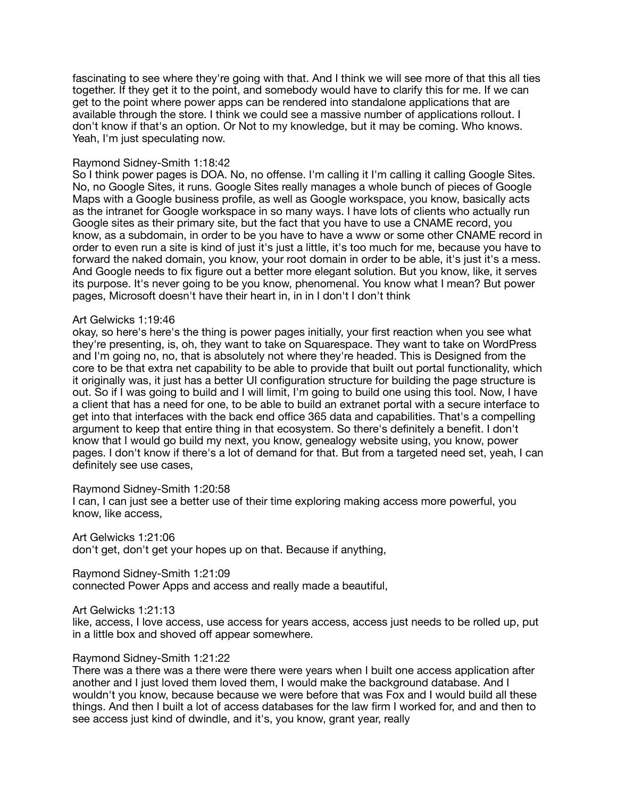fascinating to see where they're going with that. And I think we will see more of that this all ties together. If they get it to the point, and somebody would have to clarify this for me. If we can get to the point where power apps can be rendered into standalone applications that are available through the store. I think we could see a massive number of applications rollout. I don't know if that's an option. Or Not to my knowledge, but it may be coming. Who knows. Yeah, I'm just speculating now.

## Raymond Sidney-Smith 1:18:42

So I think power pages is DOA. No, no offense. I'm calling it I'm calling it calling Google Sites. No, no Google Sites, it runs. Google Sites really manages a whole bunch of pieces of Google Maps with a Google business profile, as well as Google workspace, you know, basically acts as the intranet for Google workspace in so many ways. I have lots of clients who actually run Google sites as their primary site, but the fact that you have to use a CNAME record, you know, as a subdomain, in order to be you have to have a www or some other CNAME record in order to even run a site is kind of just it's just a little, it's too much for me, because you have to forward the naked domain, you know, your root domain in order to be able, it's just it's a mess. And Google needs to fix figure out a better more elegant solution. But you know, like, it serves its purpose. It's never going to be you know, phenomenal. You know what I mean? But power pages, Microsoft doesn't have their heart in, in in I don't I don't think

#### Art Gelwicks 1:19:46

okay, so here's here's the thing is power pages initially, your first reaction when you see what they're presenting, is, oh, they want to take on Squarespace. They want to take on WordPress and I'm going no, no, that is absolutely not where they're headed. This is Designed from the core to be that extra net capability to be able to provide that built out portal functionality, which it originally was, it just has a better UI configuration structure for building the page structure is out. So if I was going to build and I will limit, I'm going to build one using this tool. Now, I have a client that has a need for one, to be able to build an extranet portal with a secure interface to get into that interfaces with the back end office 365 data and capabilities. That's a compelling argument to keep that entire thing in that ecosystem. So there's definitely a benefit. I don't know that I would go build my next, you know, genealogy website using, you know, power pages. I don't know if there's a lot of demand for that. But from a targeted need set, yeah, I can definitely see use cases,

#### Raymond Sidney-Smith 1:20:58

I can, I can just see a better use of their time exploring making access more powerful, you know, like access,

Art Gelwicks 1:21:06 don't get, don't get your hopes up on that. Because if anything,

Raymond Sidney-Smith 1:21:09 connected Power Apps and access and really made a beautiful,

Art Gelwicks 1:21:13

like, access, I love access, use access for years access, access just needs to be rolled up, put in a little box and shoved off appear somewhere.

#### Raymond Sidney-Smith 1:21:22

There was a there was a there were there were years when I built one access application after another and I just loved them loved them, I would make the background database. And I wouldn't you know, because because we were before that was Fox and I would build all these things. And then I built a lot of access databases for the law firm I worked for, and and then to see access just kind of dwindle, and it's, you know, grant year, really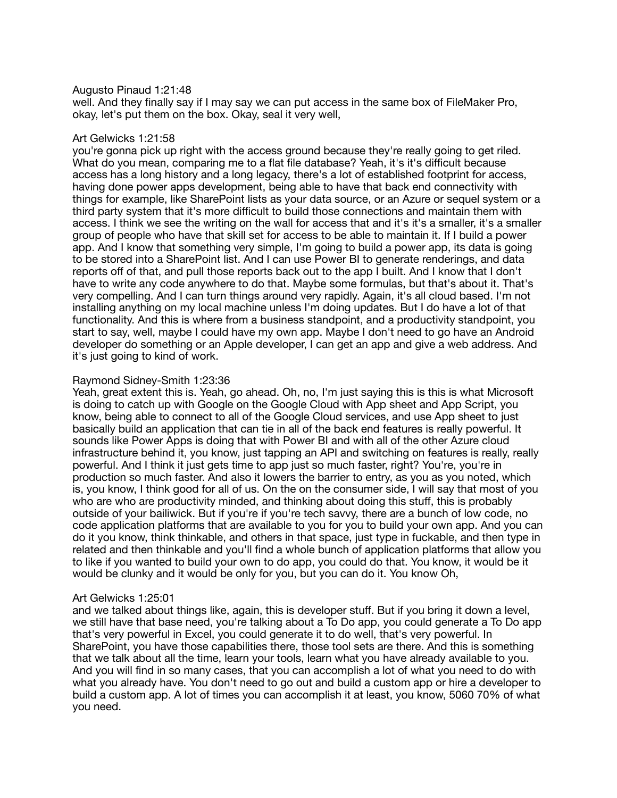## Augusto Pinaud 1:21:48

well. And they finally say if I may say we can put access in the same box of FileMaker Pro, okay, let's put them on the box. Okay, seal it very well,

# Art Gelwicks 1:21:58

you're gonna pick up right with the access ground because they're really going to get riled. What do you mean, comparing me to a flat file database? Yeah, it's it's difficult because access has a long history and a long legacy, there's a lot of established footprint for access, having done power apps development, being able to have that back end connectivity with things for example, like SharePoint lists as your data source, or an Azure or sequel system or a third party system that it's more difficult to build those connections and maintain them with access. I think we see the writing on the wall for access that and it's it's a smaller, it's a smaller group of people who have that skill set for access to be able to maintain it. If I build a power app. And I know that something very simple, I'm going to build a power app, its data is going to be stored into a SharePoint list. And I can use Power BI to generate renderings, and data reports off of that, and pull those reports back out to the app I built. And I know that I don't have to write any code anywhere to do that. Maybe some formulas, but that's about it. That's very compelling. And I can turn things around very rapidly. Again, it's all cloud based. I'm not installing anything on my local machine unless I'm doing updates. But I do have a lot of that functionality. And this is where from a business standpoint, and a productivity standpoint, you start to say, well, maybe I could have my own app. Maybe I don't need to go have an Android developer do something or an Apple developer, I can get an app and give a web address. And it's just going to kind of work.

## Raymond Sidney-Smith 1:23:36

Yeah, great extent this is. Yeah, go ahead. Oh, no, I'm just saying this is this is what Microsoft is doing to catch up with Google on the Google Cloud with App sheet and App Script, you know, being able to connect to all of the Google Cloud services, and use App sheet to just basically build an application that can tie in all of the back end features is really powerful. It sounds like Power Apps is doing that with Power BI and with all of the other Azure cloud infrastructure behind it, you know, just tapping an API and switching on features is really, really powerful. And I think it just gets time to app just so much faster, right? You're, you're in production so much faster. And also it lowers the barrier to entry, as you as you noted, which is, you know, I think good for all of us. On the on the consumer side, I will say that most of you who are who are productivity minded, and thinking about doing this stuff, this is probably outside of your bailiwick. But if you're if you're tech savvy, there are a bunch of low code, no code application platforms that are available to you for you to build your own app. And you can do it you know, think thinkable, and others in that space, just type in fuckable, and then type in related and then thinkable and you'll find a whole bunch of application platforms that allow you to like if you wanted to build your own to do app, you could do that. You know, it would be it would be clunky and it would be only for you, but you can do it. You know Oh,

#### Art Gelwicks 1:25:01

and we talked about things like, again, this is developer stuff. But if you bring it down a level, we still have that base need, you're talking about a To Do app, you could generate a To Do app that's very powerful in Excel, you could generate it to do well, that's very powerful. In SharePoint, you have those capabilities there, those tool sets are there. And this is something that we talk about all the time, learn your tools, learn what you have already available to you. And you will find in so many cases, that you can accomplish a lot of what you need to do with what you already have. You don't need to go out and build a custom app or hire a developer to build a custom app. A lot of times you can accomplish it at least, you know, 5060 70% of what you need.